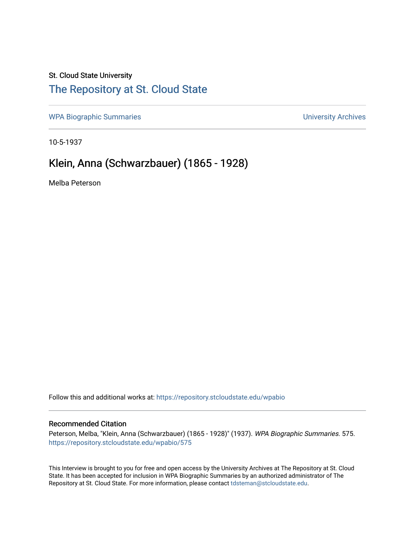## St. Cloud State University [The Repository at St. Cloud State](https://repository.stcloudstate.edu/)

[WPA Biographic Summaries](https://repository.stcloudstate.edu/wpabio) **WPA Biographic Summaries University Archives** 

10-5-1937

# Klein, Anna (Schwarzbauer) (1865 - 1928)

Melba Peterson

Follow this and additional works at: [https://repository.stcloudstate.edu/wpabio](https://repository.stcloudstate.edu/wpabio?utm_source=repository.stcloudstate.edu%2Fwpabio%2F575&utm_medium=PDF&utm_campaign=PDFCoverPages) 

### Recommended Citation

Peterson, Melba, "Klein, Anna (Schwarzbauer) (1865 - 1928)" (1937). WPA Biographic Summaries. 575. [https://repository.stcloudstate.edu/wpabio/575](https://repository.stcloudstate.edu/wpabio/575?utm_source=repository.stcloudstate.edu%2Fwpabio%2F575&utm_medium=PDF&utm_campaign=PDFCoverPages) 

This Interview is brought to you for free and open access by the University Archives at The Repository at St. Cloud State. It has been accepted for inclusion in WPA Biographic Summaries by an authorized administrator of The Repository at St. Cloud State. For more information, please contact [tdsteman@stcloudstate.edu.](mailto:tdsteman@stcloudstate.edu)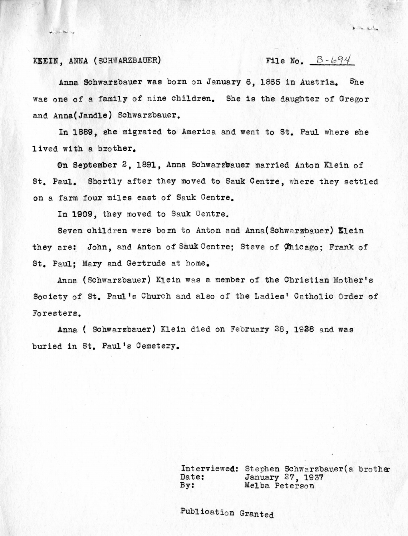### KEEIN, ANNA (SCHWARZBAUER)

de Sille

### File No.  $B - 694$

 $\mathbf{y} = \mathbf{y} - \mathbf{z} + \mathbf{y}$ 

Anna Schwarzbauer was born on January 6, 1865 in Austria. She was one of a family of nine children. She is the daughter of Gregor and Anna(Jandle) Schwarzbauer.

In 1889, she migrated to America and went to St. Paul where she lived with a brother.

On September 2, 1891, Anna Schwarzbauer married Anton Klein of St. Paul. Shortly after they moved to Sauk Centre, where they settled on a farm four miles east of Sauk Centre.

In 1909, they moved to Sauk Centre.

Seven children were born to Anton and Anna (Schwarzbauer) Klein they are: John, and Anton of Sauk Centre; Steve of Chicago; Frank of St. Paul: Mary and Gertrude at home.

Anna (Schwarzbauer) Klein was a member of the Christian Mother's Society of St. Paul's Church and also of the Ladies' Catholic Order of Foresters.

Anna ( Schwarzbauer) Klein died on February 28, 1928 and was buried in St. Paul's Cemetery.

> Interviewed: Stephen Schwarzbauer (a. brother Date: January 27, 1937 Date: January 27, 1937<br>By: Melba Peterson Melba Peterson

Publication Granted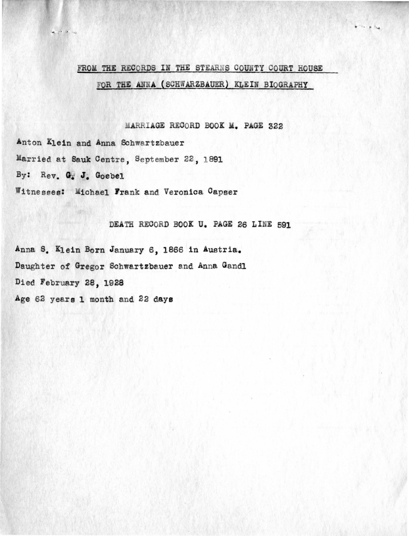## FROM THE RECORDS IN THE STEARNS COUNTY COURT HOUSE FOR THE ANNA (SCHWARZBAUER) KLEIN BIOGRAPHY

### MARRIAGE RECORD BOOK M. PAGE 322

Anton K1ein and Anna Schwartzbauer Married at Sauk Centre, September 22, 1891 By: Rev. **Q~ J.** Goebel Witnesses: Michael Frank and Veronica Capser

 $\frac{1}{2} \frac{1}{2} \frac{1}{2} \frac{1}{2} \frac{1}{2} \frac{1}{2} \frac{1}{2} \frac{1}{2} \frac{1}{2} \frac{1}{2} \frac{1}{2} \frac{1}{2} \frac{1}{2} \frac{1}{2} \frac{1}{2} \frac{1}{2} \frac{1}{2} \frac{1}{2} \frac{1}{2} \frac{1}{2} \frac{1}{2} \frac{1}{2} \frac{1}{2} \frac{1}{2} \frac{1}{2} \frac{1}{2} \frac{1}{2} \frac{1}{2} \frac{1}{2} \frac{1}{2} \frac{1}{2} \frac{$ 

DEATH RECORD BOOK U. PAGE 26 LINE 591

Annas. Klein Born January s, 1866 in Austria. Daughter of Gregor Schwartzbauer and Anna Gandl Died February 28, 1928 Age 62 years l month and 22 **days**